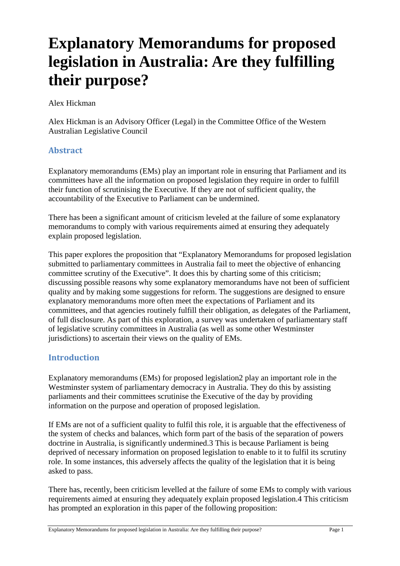# **Explanatory Memorandums for proposed legislation in Australia: Are they fulfilling their purpose?**

Alex Hickman

Alex Hickman is an Advisory Officer (Legal) in the Committee Office of the Western Australian Legislative Council

# **Abstract**

Explanatory memorandums (EMs) play an important role in ensuring that Parliament and its committees have all the information on proposed legislation they require in order to fulfill their function of scrutinising the Executive. If they are not of sufficient quality, the accountability of the Executive to Parliament can be undermined.

There has been a significant amount of criticism leveled at the failure of some explanatory memorandums to comply with various requirements aimed at ensuring they adequately explain proposed legislation.

This paper explores the proposition that "Explanatory Memorandums for proposed legislation submitted to parliamentary committees in Australia fail to meet the objective of enhancing committee scrutiny of the Executive". It does this by charting some of this criticism; discussing possible reasons why some explanatory memorandums have not been of sufficient quality and by making some suggestions for reform. The suggestions are designed to ensure explanatory memorandums more often meet the expectations of Parliament and its committees, and that agencies routinely fulfill their obligation, as delegates of the Parliament, of full disclosure. As part of this exploration, a survey was undertaken of parliamentary staff of legislative scrutiny committees in Australia (as well as some other Westminster jurisdictions) to ascertain their views on the quality of EMs.

## **Introduction**

Explanatory memorandums (EMs) for proposed legislation2 play an important role in the Westminster system of parliamentary democracy in Australia. They do this by assisting parliaments and their committees scrutinise the Executive of the day by providing information on the purpose and operation of proposed legislation.

If EMs are not of a sufficient quality to fulfil this role, it is arguable that the effectiveness of the system of checks and balances, which form part of the basis of the separation of powers doctrine in Australia, is significantly undermined.3 This is because Parliament is being deprived of necessary information on proposed legislation to enable to it to fulfil its scrutiny role. In some instances, this adversely affects the quality of the legislation that it is being asked to pass.

There has, recently, been criticism levelled at the failure of some EMs to comply with various requirements aimed at ensuring they adequately explain proposed legislation.4 This criticism has prompted an exploration in this paper of the following proposition: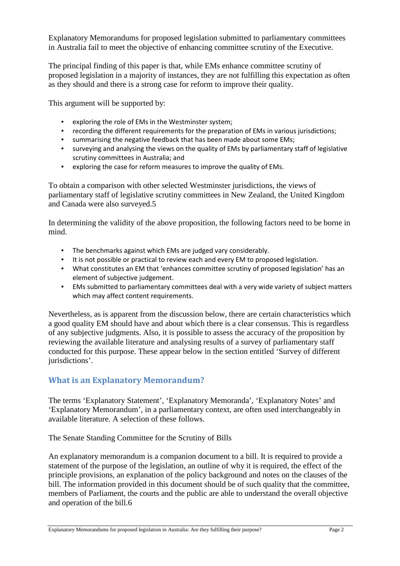Explanatory Memorandums for proposed legislation submitted to parliamentary committees in Australia fail to meet the objective of enhancing committee scrutiny of the Executive.

The principal finding of this paper is that, while EMs enhance committee scrutiny of proposed legislation in a majority of instances, they are not fulfilling this expectation as often as they should and there is a strong case for reform to improve their quality.

This argument will be supported by:

- exploring the role of EMs in the Westminster system;
- recording the different requirements for the preparation of EMs in various jurisdictions;
- summarising the negative feedback that has been made about some EMs;
- surveying and analysing the views on the quality of EMs by parliamentary staff of legislative scrutiny committees in Australia; and
- exploring the case for reform measures to improve the quality of EMs.

To obtain a comparison with other selected Westminster jurisdictions, the views of parliamentary staff of legislative scrutiny committees in New Zealand, the United Kingdom and Canada were also surveyed.5

In determining the validity of the above proposition, the following factors need to be borne in mind.

- The benchmarks against which EMs are judged vary considerably.
- It is not possible or practical to review each and every EM to proposed legislation.
- What constitutes an EM that 'enhances committee scrutiny of proposed legislation' has an element of subjective judgement.
- EMs submitted to parliamentary committees deal with a very wide variety of subject matters which may affect content requirements.

Nevertheless, as is apparent from the discussion below, there are certain characteristics which a good quality EM should have and about which there is a clear consensus. This is regardless of any subjective judgments. Also, it is possible to assess the accuracy of the proposition by reviewing the available literature and analysing results of a survey of parliamentary staff conducted for this purpose. These appear below in the section entitled 'Survey of different jurisdictions'.

# **What is an Explanatory Memorandum?**

The terms 'Explanatory Statement', 'Explanatory Memoranda', 'Explanatory Notes' and 'Explanatory Memorandum', in a parliamentary context, are often used interchangeably in available literature. A selection of these follows.

The Senate Standing Committee for the Scrutiny of Bills

An explanatory memorandum is a companion document to a bill. It is required to provide a statement of the purpose of the legislation, an outline of why it is required, the effect of the principle provisions, an explanation of the policy background and notes on the clauses of the bill. The information provided in this document should be of such quality that the committee, members of Parliament, the courts and the public are able to understand the overall objective and operation of the bill.6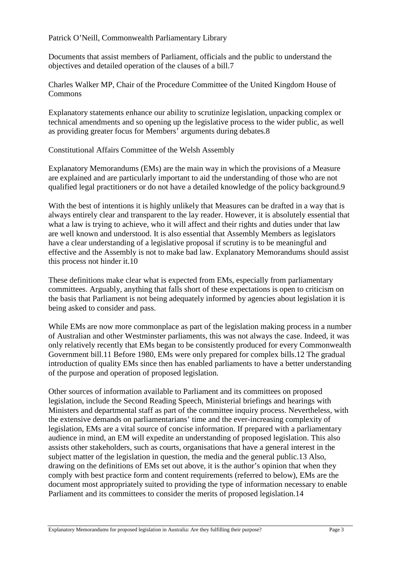Patrick O'Neill, Commonwealth Parliamentary Library

Documents that assist members of Parliament, officials and the public to understand the objectives and detailed operation of the clauses of a bill.7

Charles Walker MP, Chair of the Procedure Committee of the United Kingdom House of Commons

Explanatory statements enhance our ability to scrutinize legislation, unpacking complex or technical amendments and so opening up the legislative process to the wider public, as well as providing greater focus for Members' arguments during debates.8

Constitutional Affairs Committee of the Welsh Assembly

Explanatory Memorandums (EMs) are the main way in which the provisions of a Measure are explained and are particularly important to aid the understanding of those who are not qualified legal practitioners or do not have a detailed knowledge of the policy background.9

With the best of intentions it is highly unlikely that Measures can be drafted in a way that is always entirely clear and transparent to the lay reader. However, it is absolutely essential that what a law is trying to achieve, who it will affect and their rights and duties under that law are well known and understood. It is also essential that Assembly Members as legislators have a clear understanding of a legislative proposal if scrutiny is to be meaningful and effective and the Assembly is not to make bad law. Explanatory Memorandums should assist this process not hinder it.10

These definitions make clear what is expected from EMs, especially from parliamentary committees. Arguably, anything that falls short of these expectations is open to criticism on the basis that Parliament is not being adequately informed by agencies about legislation it is being asked to consider and pass.

While EMs are now more commonplace as part of the legislation making process in a number of Australian and other Westminster parliaments, this was not always the case. Indeed, it was only relatively recently that EMs began to be consistently produced for every Commonwealth Government bill.11 Before 1980, EMs were only prepared for complex bills.12 The gradual introduction of quality EMs since then has enabled parliaments to have a better understanding of the purpose and operation of proposed legislation.

Other sources of information available to Parliament and its committees on proposed legislation, include the Second Reading Speech, Ministerial briefings and hearings with Ministers and departmental staff as part of the committee inquiry process. Nevertheless, with the extensive demands on parliamentarians' time and the ever-increasing complexity of legislation, EMs are a vital source of concise information. If prepared with a parliamentary audience in mind, an EM will expedite an understanding of proposed legislation. This also assists other stakeholders, such as courts, organisations that have a general interest in the subject matter of the legislation in question, the media and the general public.13 Also, drawing on the definitions of EMs set out above, it is the author's opinion that when they comply with best practice form and content requirements (referred to below), EMs are the document most appropriately suited to providing the type of information necessary to enable Parliament and its committees to consider the merits of proposed legislation.14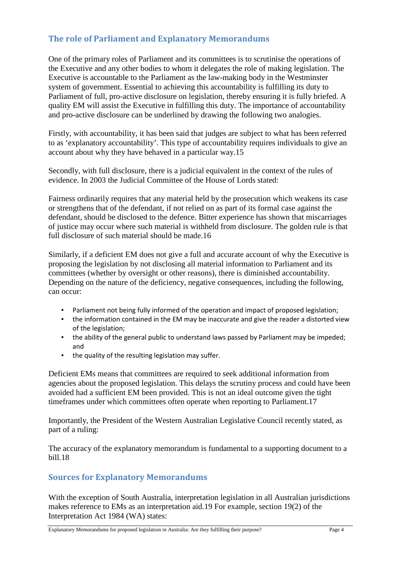# **The role of Parliament and Explanatory Memorandums**

One of the primary roles of Parliament and its committees is to scrutinise the operations of the Executive and any other bodies to whom it delegates the role of making legislation. The Executive is accountable to the Parliament as the law-making body in the Westminster system of government. Essential to achieving this accountability is fulfilling its duty to Parliament of full, pro-active disclosure on legislation, thereby ensuring it is fully briefed. A quality EM will assist the Executive in fulfilling this duty. The importance of accountability and pro-active disclosure can be underlined by drawing the following two analogies.

Firstly, with accountability, it has been said that judges are subject to what has been referred to as 'explanatory accountability'. This type of accountability requires individuals to give an account about why they have behaved in a particular way.15

Secondly, with full disclosure, there is a judicial equivalent in the context of the rules of evidence. In 2003 the Judicial Committee of the House of Lords stated:

Fairness ordinarily requires that any material held by the prosecution which weakens its case or strengthens that of the defendant, if not relied on as part of its formal case against the defendant, should be disclosed to the defence. Bitter experience has shown that miscarriages of justice may occur where such material is withheld from disclosure. The golden rule is that full disclosure of such material should be made.16

Similarly, if a deficient EM does not give a full and accurate account of why the Executive is proposing the legislation by not disclosing all material information to Parliament and its committees (whether by oversight or other reasons), there is diminished accountability. Depending on the nature of the deficiency, negative consequences, including the following, can occur:

- Parliament not being fully informed of the operation and impact of proposed legislation;
- the information contained in the EM may be inaccurate and give the reader a distorted view of the legislation;
- the ability of the general public to understand laws passed by Parliament may be impeded; and
- the quality of the resulting legislation may suffer.

Deficient EMs means that committees are required to seek additional information from agencies about the proposed legislation. This delays the scrutiny process and could have been avoided had a sufficient EM been provided. This is not an ideal outcome given the tight timeframes under which committees often operate when reporting to Parliament.17

Importantly, the President of the Western Australian Legislative Council recently stated, as part of a ruling:

The accuracy of the explanatory memorandum is fundamental to a supporting document to a bill.18

## **Sources for Explanatory Memorandums**

With the exception of South Australia, interpretation legislation in all Australian jurisdictions makes reference to EMs as an interpretation aid.19 For example, section 19(2) of the Interpretation Act 1984 (WA) states: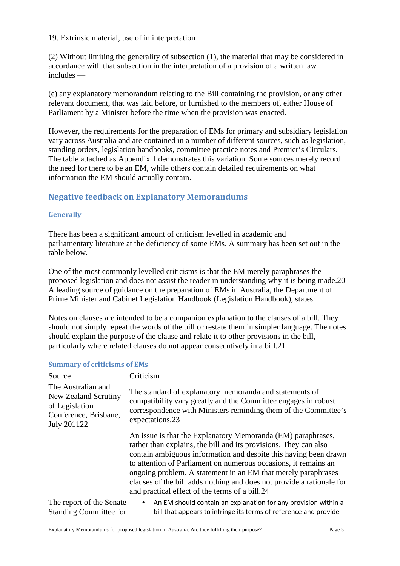19. Extrinsic material, use of in interpretation

(2) Without limiting the generality of subsection (1), the material that may be considered in accordance with that subsection in the interpretation of a provision of a written law includes —

(e) any explanatory memorandum relating to the Bill containing the provision, or any other relevant document, that was laid before, or furnished to the members of, either House of Parliament by a Minister before the time when the provision was enacted.

However, the requirements for the preparation of EMs for primary and subsidiary legislation vary across Australia and are contained in a number of different sources, such as legislation, standing orders, legislation handbooks, committee practice notes and Premier's Circulars. The table attached as Appendix 1 demonstrates this variation. Some sources merely record the need for there to be an EM, while others contain detailed requirements on what information the EM should actually contain.

## **Negative feedback on Explanatory Memorandums**

#### **Generally**

There has been a significant amount of criticism levelled in academic and parliamentary literature at the deficiency of some EMs. A summary has been set out in the table below.

One of the most commonly levelled criticisms is that the EM merely paraphrases the proposed legislation and does not assist the reader in understanding why it is being made.20 A leading source of guidance on the preparation of EMs in Australia, the Department of Prime Minister and Cabinet Legislation Handbook (Legislation Handbook), states:

Notes on clauses are intended to be a companion explanation to the clauses of a bill. They should not simply repeat the words of the bill or restate them in simpler language. The notes should explain the purpose of the clause and relate it to other provisions in the bill, particularly where related clauses do not appear consecutively in a bill.21

#### **Summary of criticisms of EMs**

| Source                                                                                               | Criticism                                                                                                                                                                                                                                                                                                                                                                                                                                                           |  |
|------------------------------------------------------------------------------------------------------|---------------------------------------------------------------------------------------------------------------------------------------------------------------------------------------------------------------------------------------------------------------------------------------------------------------------------------------------------------------------------------------------------------------------------------------------------------------------|--|
| The Australian and<br>New Zealand Scrutiny<br>of Legislation<br>Conference, Brisbane,<br>July 201122 | The standard of explanatory memoranda and statements of<br>compatibility vary greatly and the Committee engages in robust<br>correspondence with Ministers reminding them of the Committee's<br>expectations.23                                                                                                                                                                                                                                                     |  |
|                                                                                                      | An issue is that the Explanatory Memoranda (EM) paraphrases,<br>rather than explains, the bill and its provisions. They can also<br>contain ambiguous information and despite this having been drawn<br>to attention of Parliament on numerous occasions, it remains an<br>ongoing problem. A statement in an EM that merely paraphrases<br>clauses of the bill adds nothing and does not provide a rationale for<br>and practical effect of the terms of a bill.24 |  |
| The report of the Senate<br><b>Standing Committee for</b>                                            | An EM should contain an explanation for any provision within a<br>$\bullet$<br>bill that appears to infringe its terms of reference and provide                                                                                                                                                                                                                                                                                                                     |  |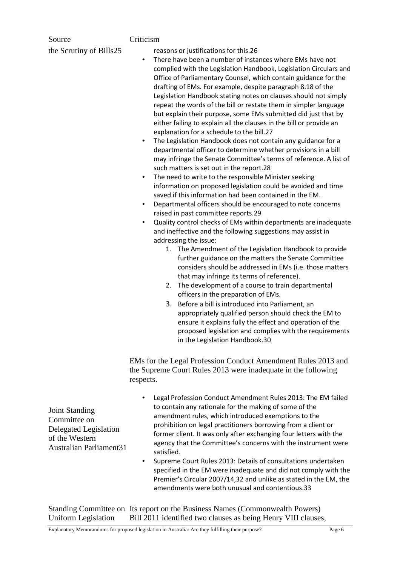| Source<br>the Scrutiny of Bills25                                                | Criticism<br>reasons or justifications for this.26<br>There have been a number of instances where EMs have not<br>$\bullet$<br>complied with the Legislation Handbook, Legislation Circulars and<br>Office of Parliamentary Counsel, which contain guidance for the<br>drafting of EMs. For example, despite paragraph 8.18 of the<br>Legislation Handbook stating notes on clauses should not simply<br>repeat the words of the bill or restate them in simpler language<br>but explain their purpose, some EMs submitted did just that by<br>either failing to explain all the clauses in the bill or provide an<br>explanation for a schedule to the bill.27<br>The Legislation Handbook does not contain any guidance for a<br>$\bullet$<br>departmental officer to determine whether provisions in a bill<br>may infringe the Senate Committee's terms of reference. A list of<br>such matters is set out in the report.28<br>The need to write to the responsible Minister seeking<br>٠<br>information on proposed legislation could be avoided and time<br>saved if this information had been contained in the EM.<br>Departmental officers should be encouraged to note concerns<br>٠<br>raised in past committee reports.29<br>Quality control checks of EMs within departments are inadequate<br>$\bullet$<br>and ineffective and the following suggestions may assist in<br>addressing the issue:<br>1. The Amendment of the Legislation Handbook to provide<br>further guidance on the matters the Senate Committee<br>considers should be addressed in EMs (i.e. those matters<br>that may infringe its terms of reference).<br>The development of a course to train departmental<br>2.<br>officers in the preparation of EMs.<br>3. Before a bill is introduced into Parliament, an<br>appropriately qualified person should check the EM to<br>ensure it explains fully the effect and operation of the<br>proposed legislation and complies with the requirements<br>in the Legislation Handbook.30 |
|----------------------------------------------------------------------------------|---------------------------------------------------------------------------------------------------------------------------------------------------------------------------------------------------------------------------------------------------------------------------------------------------------------------------------------------------------------------------------------------------------------------------------------------------------------------------------------------------------------------------------------------------------------------------------------------------------------------------------------------------------------------------------------------------------------------------------------------------------------------------------------------------------------------------------------------------------------------------------------------------------------------------------------------------------------------------------------------------------------------------------------------------------------------------------------------------------------------------------------------------------------------------------------------------------------------------------------------------------------------------------------------------------------------------------------------------------------------------------------------------------------------------------------------------------------------------------------------------------------------------------------------------------------------------------------------------------------------------------------------------------------------------------------------------------------------------------------------------------------------------------------------------------------------------------------------------------------------------------------------------------------------------------------------------------------------------------------------------------------------|
|                                                                                  | EMs for the Legal Profession Conduct Amendment Rules 2013 and<br>the Supreme Court Rules 2013 were inadequate in the following<br>respects.                                                                                                                                                                                                                                                                                                                                                                                                                                                                                                                                                                                                                                                                                                                                                                                                                                                                                                                                                                                                                                                                                                                                                                                                                                                                                                                                                                                                                                                                                                                                                                                                                                                                                                                                                                                                                                                                         |
| <b>Joint Standing</b><br>Committee on<br>Delegated Legislation<br>of the Western | Legal Profession Conduct Amendment Rules 2013: The EM failed<br>to contain any rationale for the making of some of the<br>amendment rules, which introduced exemptions to the<br>prohibition on legal practitioners borrowing from a client or<br>former client. It was only after exchanging four letters with the<br>agency that the Committee's concerns with the instrument were                                                                                                                                                                                                                                                                                                                                                                                                                                                                                                                                                                                                                                                                                                                                                                                                                                                                                                                                                                                                                                                                                                                                                                                                                                                                                                                                                                                                                                                                                                                                                                                                                                |

• Supreme Court Rules 2013: Details of consultations undertaken specified in the EM were inadequate and did not comply with the Premier's Circular 2007/14,32 and unlike as stated in the EM, the amendments were both unusual and contentious.33

Standing Committee on Its report on the Business Names (Commonwealth Powers) Uniform Legislation Bill 2011 identified two clauses as being Henry VIII clauses,

satisfied.

Australian Parliament31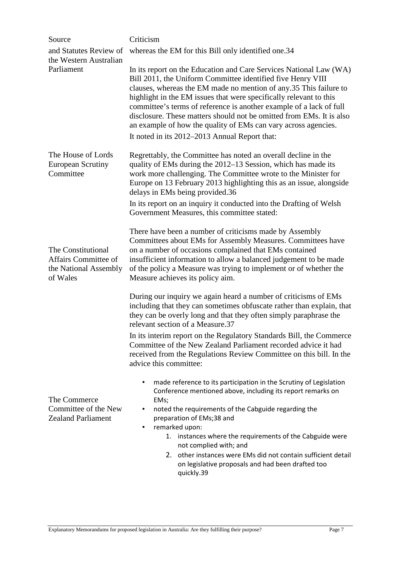| Source                                                                          | Criticism                                                                                                                                                                                                                                                                                                                                                                                                                                                                                                                                      |
|---------------------------------------------------------------------------------|------------------------------------------------------------------------------------------------------------------------------------------------------------------------------------------------------------------------------------------------------------------------------------------------------------------------------------------------------------------------------------------------------------------------------------------------------------------------------------------------------------------------------------------------|
| and Statutes Review of                                                          | whereas the EM for this Bill only identified one.34                                                                                                                                                                                                                                                                                                                                                                                                                                                                                            |
| the Western Australian                                                          |                                                                                                                                                                                                                                                                                                                                                                                                                                                                                                                                                |
| Parliament                                                                      | In its report on the Education and Care Services National Law (WA)<br>Bill 2011, the Uniform Committee identified five Henry VIII<br>clauses, whereas the EM made no mention of any 35 This failure to<br>highlight in the EM issues that were specifically relevant to this<br>committee's terms of reference is another example of a lack of full<br>disclosure. These matters should not be omitted from EMs. It is also<br>an example of how the quality of EMs can vary across agencies.<br>It noted in its 2012–2013 Annual Report that: |
|                                                                                 |                                                                                                                                                                                                                                                                                                                                                                                                                                                                                                                                                |
| The House of Lords<br><b>European Scrutiny</b><br>Committee                     | Regrettably, the Committee has noted an overall decline in the<br>quality of EMs during the 2012–13 Session, which has made its<br>work more challenging. The Committee wrote to the Minister for<br>Europe on 13 February 2013 highlighting this as an issue, alongside<br>delays in EMs being provided.36                                                                                                                                                                                                                                    |
|                                                                                 | In its report on an inquiry it conducted into the Drafting of Welsh<br>Government Measures, this committee stated:                                                                                                                                                                                                                                                                                                                                                                                                                             |
| The Constitutional<br>Affairs Committee of<br>the National Assembly<br>of Wales | There have been a number of criticisms made by Assembly<br>Committees about EMs for Assembly Measures. Committees have<br>on a number of occasions complained that EMs contained<br>insufficient information to allow a balanced judgement to be made<br>of the policy a Measure was trying to implement or of whether the<br>Measure achieves its policy aim.                                                                                                                                                                                 |
|                                                                                 | During our inquiry we again heard a number of criticisms of EMs<br>including that they can sometimes obfuscate rather than explain, that<br>they can be overly long and that they often simply paraphrase the<br>relevant section of a Measure.37                                                                                                                                                                                                                                                                                              |
|                                                                                 | In its interim report on the Regulatory Standards Bill, the Commerce<br>Committee of the New Zealand Parliament recorded advice it had<br>received from the Regulations Review Committee on this bill. In the<br>advice this committee:                                                                                                                                                                                                                                                                                                        |
| The Commerce                                                                    | made reference to its participation in the Scrutiny of Legislation<br>$\bullet$<br>Conference mentioned above, including its report remarks on<br>EMs;                                                                                                                                                                                                                                                                                                                                                                                         |
| Committee of the New<br><b>Zealand Parliament</b>                               | noted the requirements of the Cabguide regarding the<br>preparation of EMs;38 and<br>remarked upon:<br>$\bullet$                                                                                                                                                                                                                                                                                                                                                                                                                               |
|                                                                                 | 1. instances where the requirements of the Cabguide were                                                                                                                                                                                                                                                                                                                                                                                                                                                                                       |
|                                                                                 | not complied with; and<br>other instances were EMs did not contain sufficient detail<br>2.<br>on legislative proposals and had been drafted too<br>quickly.39                                                                                                                                                                                                                                                                                                                                                                                  |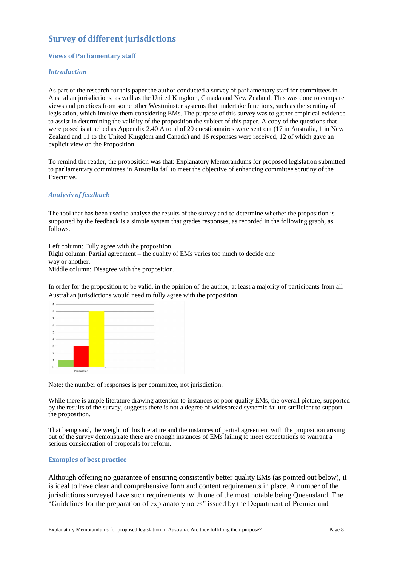# **Survey of different jurisdictions**

#### **Views of Parliamentary staff**

#### *Introduction*

As part of the research for this paper the author conducted a survey of parliamentary staff for committees in Australian jurisdictions, as well as the United Kingdom, Canada and New Zealand. This was done to compare views and practices from some other Westminster systems that undertake functions, such as the scrutiny of legislation, which involve them considering EMs. The purpose of this survey was to gather empirical evidence to assist in determining the validity of the proposition the subject of this paper. A copy of the questions that were posed is attached as Appendix 2.40 A total of 29 questionnaires were sent out (17 in Australia, 1 in New Zealand and 11 to the United Kingdom and Canada) and 16 responses were received, 12 of which gave an explicit view on the Proposition.

To remind the reader, the proposition was that: Explanatory Memorandums for proposed legislation submitted to parliamentary committees in Australia fail to meet the objective of enhancing committee scrutiny of the Executive.

#### *Analysis of feedback*

The tool that has been used to analyse the results of the survey and to determine whether the proposition is supported by the feedback is a simple system that grades responses, as recorded in the following graph, as follows.

Left column: Fully agree with the proposition.

Right column: Partial agreement – the quality of EMs varies too much to decide one way or another.

Middle column: Disagree with the proposition.

In order for the proposition to be valid, in the opinion of the author, at least a majority of participants from all Australian jurisdictions would need to fully agree with the proposition.



Note: the number of responses is per committee, not jurisdiction.

While there is ample literature drawing attention to instances of poor quality EMs, the overall picture, supported by the results of the survey, suggests there is not a degree of widespread systemic failure sufficient to support the proposition.

That being said, the weight of this literature and the instances of partial agreement with the proposition arising out of the survey demonstrate there are enough instances of EMs failing to meet expectations to warrant a serious consideration of proposals for reform.

#### **Examples of best practice**

Although offering no guarantee of ensuring consistently better quality EMs (as pointed out below), it is ideal to have clear and comprehensive form and content requirements in place. A number of the jurisdictions surveyed have such requirements, with one of the most notable being Queensland. The "Guidelines for the preparation of explanatory notes" issued by the Department of Premier and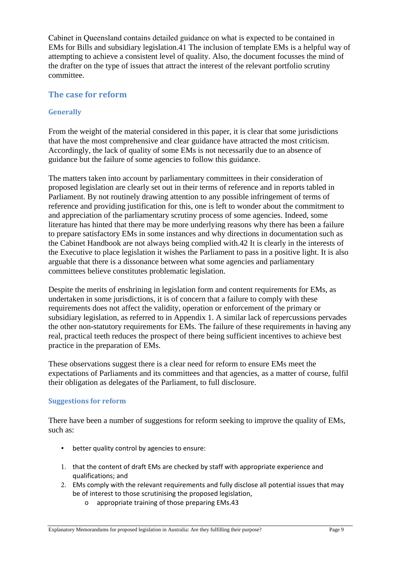Cabinet in Queensland contains detailed guidance on what is expected to be contained in EMs for Bills and subsidiary legislation.41 The inclusion of template EMs is a helpful way of attempting to achieve a consistent level of quality. Also, the document focusses the mind of the drafter on the type of issues that attract the interest of the relevant portfolio scrutiny committee.

### **The case for reform**

#### **Generally**

From the weight of the material considered in this paper, it is clear that some jurisdictions that have the most comprehensive and clear guidance have attracted the most criticism. Accordingly, the lack of quality of some EMs is not necessarily due to an absence of guidance but the failure of some agencies to follow this guidance.

The matters taken into account by parliamentary committees in their consideration of proposed legislation are clearly set out in their terms of reference and in reports tabled in Parliament. By not routinely drawing attention to any possible infringement of terms of reference and providing justification for this, one is left to wonder about the commitment to and appreciation of the parliamentary scrutiny process of some agencies. Indeed, some literature has hinted that there may be more underlying reasons why there has been a failure to prepare satisfactory EMs in some instances and why directions in documentation such as the Cabinet Handbook are not always being complied with.42 It is clearly in the interests of the Executive to place legislation it wishes the Parliament to pass in a positive light. It is also arguable that there is a dissonance between what some agencies and parliamentary committees believe constitutes problematic legislation.

Despite the merits of enshrining in legislation form and content requirements for EMs, as undertaken in some jurisdictions, it is of concern that a failure to comply with these requirements does not affect the validity, operation or enforcement of the primary or subsidiary legislation, as referred to in Appendix 1. A similar lack of repercussions pervades the other non-statutory requirements for EMs. The failure of these requirements in having any real, practical teeth reduces the prospect of there being sufficient incentives to achieve best practice in the preparation of EMs.

These observations suggest there is a clear need for reform to ensure EMs meet the expectations of Parliaments and its committees and that agencies, as a matter of course, fulfil their obligation as delegates of the Parliament, to full disclosure.

#### **Suggestions for reform**

There have been a number of suggestions for reform seeking to improve the quality of EMs, such as:

- better quality control by agencies to ensure:
- 1. that the content of draft EMs are checked by staff with appropriate experience and qualifications; and
- 2. EMs comply with the relevant requirements and fully disclose all potential issues that may be of interest to those scrutinising the proposed legislation,
	- o appropriate training of those preparing EMs.43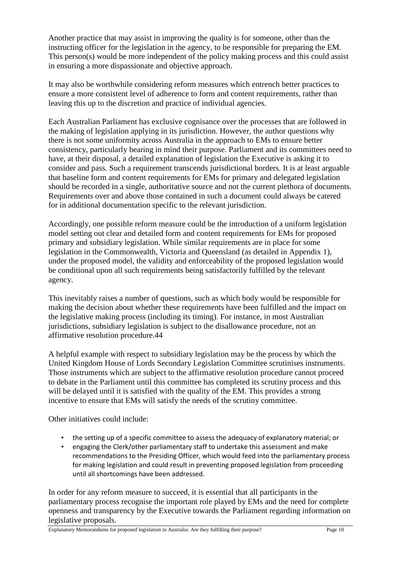Another practice that may assist in improving the quality is for someone, other than the instructing officer for the legislation in the agency, to be responsible for preparing the EM. This person(s) would be more independent of the policy making process and this could assist in ensuring a more dispassionate and objective approach.

It may also be worthwhile considering reform measures which entrench better practices to ensure a more consistent level of adherence to form and content requirements, rather than leaving this up to the discretion and practice of individual agencies.

Each Australian Parliament has exclusive cognisance over the processes that are followed in the making of legislation applying in its jurisdiction. However, the author questions why there is not some uniformity across Australia in the approach to EMs to ensure better consistency, particularly bearing in mind their purpose. Parliament and its committees need to have, at their disposal, a detailed explanation of legislation the Executive is asking it to consider and pass. Such a requirement transcends jurisdictional borders. It is at least arguable that baseline form and content requirements for EMs for primary and delegated legislation should be recorded in a single, authoritative source and not the current plethora of documents. Requirements over and above those contained in such a document could always be catered for in additional documentation specific to the relevant jurisdiction.

Accordingly, one possible reform measure could be the introduction of a uniform legislation model setting out clear and detailed form and content requirements for EMs for proposed primary and subsidiary legislation. While similar requirements are in place for some legislation in the Commonwealth, Victoria and Queensland (as detailed in Appendix 1), under the proposed model, the validity and enforceability of the proposed legislation would be conditional upon all such requirements being satisfactorily fulfilled by the relevant agency.

This inevitably raises a number of questions, such as which body would be responsible for making the decision about whether these requirements have been fulfilled and the impact on the legislative making process (including its timing). For instance, in most Australian jurisdictions, subsidiary legislation is subject to the disallowance procedure, not an affirmative resolution procedure.44

A helpful example with respect to subsidiary legislation may be the process by which the United Kingdom House of Lords Secondary Legislation Committee scrutinises instruments. Those instruments which are subject to the affirmative resolution procedure cannot proceed to debate in the Parliament until this committee has completed its scrutiny process and this will be delayed until it is satisfied with the quality of the EM. This provides a strong incentive to ensure that EMs will satisfy the needs of the scrutiny committee.

Other initiatives could include:

- the setting up of a specific committee to assess the adequacy of explanatory material; or
- engaging the Clerk/other parliamentary staff to undertake this assessment and make recommendations to the Presiding Officer, which would feed into the parliamentary process for making legislation and could result in preventing proposed legislation from proceeding until all shortcomings have been addressed.

In order for any reform measure to succeed, it is essential that all participants in the parliamentary process recognise the important role played by EMs and the need for complete openness and transparency by the Executive towards the Parliament regarding information on legislative proposals.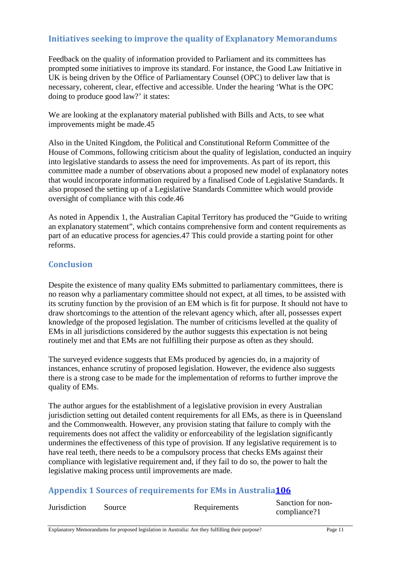# **Initiatives seeking to improve the quality of Explanatory Memorandums**

Feedback on the quality of information provided to Parliament and its committees has prompted some initiatives to improve its standard. For instance, the Good Law Initiative in UK is being driven by the Office of Parliamentary Counsel (OPC) to deliver law that is necessary, coherent, clear, effective and accessible. Under the hearing 'What is the OPC doing to produce good law?' it states:

We are looking at the explanatory material published with Bills and Acts, to see what improvements might be made.45

Also in the United Kingdom, the Political and Constitutional Reform Committee of the House of Commons, following criticism about the quality of legislation, conducted an inquiry into legislative standards to assess the need for improvements. As part of its report, this committee made a number of observations about a proposed new model of explanatory notes that would incorporate information required by a finalised Code of Legislative Standards. It also proposed the setting up of a Legislative Standards Committee which would provide oversight of compliance with this code.46

As noted in Appendix 1, the Australian Capital Territory has produced the "Guide to writing an explanatory statement", which contains comprehensive form and content requirements as part of an educative process for agencies.47 This could provide a starting point for other reforms.

## **Conclusion**

Despite the existence of many quality EMs submitted to parliamentary committees, there is no reason why a parliamentary committee should not expect, at all times, to be assisted with its scrutiny function by the provision of an EM which is fit for purpose. It should not have to draw shortcomings to the attention of the relevant agency which, after all, possesses expert knowledge of the proposed legislation. The number of criticisms levelled at the quality of EMs in all jurisdictions considered by the author suggests this expectation is not being routinely met and that EMs are not fulfilling their purpose as often as they should.

The surveyed evidence suggests that EMs produced by agencies do, in a majority of instances, enhance scrutiny of proposed legislation. However, the evidence also suggests there is a strong case to be made for the implementation of reforms to further improve the quality of EMs.

The author argues for the establishment of a legislative provision in every Australian jurisdiction setting out detailed content requirements for all EMs, as there is in Queensland and the Commonwealth. However, any provision stating that failure to comply with the requirements does not affect the validity or enforceability of the legislation significantly undermines the effectiveness of this type of provision. If any legislative requirement is to have real teeth, there needs to be a compulsory process that checks EMs against their compliance with legislative requirement and, if they fail to do so, the power to halt the legislative making process until improvements are made.

# **Appendix 1 Sources of requirements for EMs in Australia106**

| <b>Jurisdiction</b> | Source | Requirements | Sanction for non- |
|---------------------|--------|--------------|-------------------|
|                     |        |              | compliance?1      |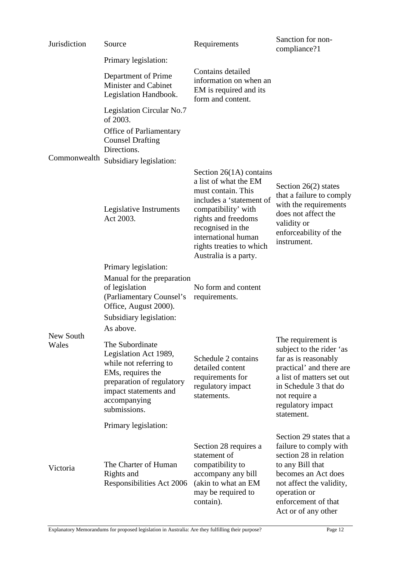| Jurisdiction       | Source                                                                                                                                                                        | Requirements                                                                                                                                                                                                                                        | Sanction for non-<br>compliance?1                                                                                                                                                                                 |
|--------------------|-------------------------------------------------------------------------------------------------------------------------------------------------------------------------------|-----------------------------------------------------------------------------------------------------------------------------------------------------------------------------------------------------------------------------------------------------|-------------------------------------------------------------------------------------------------------------------------------------------------------------------------------------------------------------------|
|                    | Primary legislation:                                                                                                                                                          |                                                                                                                                                                                                                                                     |                                                                                                                                                                                                                   |
|                    | Department of Prime<br><b>Minister and Cabinet</b><br>Legislation Handbook.                                                                                                   | Contains detailed<br>information on when an<br>EM is required and its<br>form and content.                                                                                                                                                          |                                                                                                                                                                                                                   |
|                    | Legislation Circular No.7<br>of 2003.                                                                                                                                         |                                                                                                                                                                                                                                                     |                                                                                                                                                                                                                   |
|                    | <b>Office of Parliamentary</b><br><b>Counsel Drafting</b><br>Directions.                                                                                                      |                                                                                                                                                                                                                                                     |                                                                                                                                                                                                                   |
| Commonwealth       | Subsidiary legislation:                                                                                                                                                       |                                                                                                                                                                                                                                                     |                                                                                                                                                                                                                   |
|                    | Legislative Instruments<br>Act 2003.                                                                                                                                          | Section $26(1A)$ contains<br>a list of what the EM<br>must contain. This<br>includes a 'statement of<br>compatibility' with<br>rights and freedoms<br>recognised in the<br>international human<br>rights treaties to which<br>Australia is a party. | Section $26(2)$ states<br>that a failure to comply<br>with the requirements<br>does not affect the<br>validity or<br>enforceability of the<br>instrument.                                                         |
|                    | Primary legislation:                                                                                                                                                          |                                                                                                                                                                                                                                                     |                                                                                                                                                                                                                   |
| New South<br>Wales | Manual for the preparation<br>of legislation<br>(Parliamentary Counsel's<br>Office, August 2000).<br>Subsidiary legislation:<br>As above.                                     | No form and content<br>requirements.                                                                                                                                                                                                                |                                                                                                                                                                                                                   |
|                    | The Subordinate<br>Legislation Act 1989,<br>while not referring to<br>EMs, requires the<br>preparation of regulatory<br>impact statements and<br>accompanying<br>submissions. | Schedule 2 contains<br>detailed content<br>requirements for<br>regulatory impact<br>statements.                                                                                                                                                     | The requirement is<br>subject to the rider 'as<br>far as is reasonably<br>practical' and there are<br>a list of matters set out<br>in Schedule 3 that do<br>not require a<br>regulatory impact<br>statement.      |
|                    | Primary legislation:                                                                                                                                                          |                                                                                                                                                                                                                                                     |                                                                                                                                                                                                                   |
| Victoria           | The Charter of Human<br>Rights and<br>Responsibilities Act 2006                                                                                                               | Section 28 requires a<br>statement of<br>compatibility to<br>accompany any bill<br>(akin to what an EM<br>may be required to<br>contain).                                                                                                           | Section 29 states that a<br>failure to comply with<br>section 28 in relation<br>to any Bill that<br>becomes an Act does<br>not affect the validity,<br>operation or<br>enforcement of that<br>Act or of any other |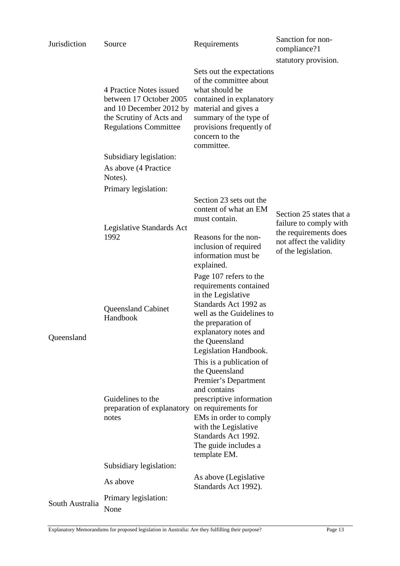| Jurisdiction    | Source                                                                                                                                    | Requirements                                                                                                                                                                                                                                       | Sanction for non-<br>compliance?1                                           |
|-----------------|-------------------------------------------------------------------------------------------------------------------------------------------|----------------------------------------------------------------------------------------------------------------------------------------------------------------------------------------------------------------------------------------------------|-----------------------------------------------------------------------------|
|                 |                                                                                                                                           |                                                                                                                                                                                                                                                    | statutory provision.                                                        |
|                 | 4 Practice Notes issued<br>between 17 October 2005<br>and 10 December 2012 by<br>the Scrutiny of Acts and<br><b>Regulations Committee</b> | Sets out the expectations<br>of the committee about<br>what should be<br>contained in explanatory<br>material and gives a<br>summary of the type of<br>provisions frequently of<br>concern to the<br>committee.                                    |                                                                             |
|                 | Subsidiary legislation:                                                                                                                   |                                                                                                                                                                                                                                                    |                                                                             |
|                 | As above (4 Practice)<br>Notes).                                                                                                          |                                                                                                                                                                                                                                                    |                                                                             |
|                 | Primary legislation:                                                                                                                      |                                                                                                                                                                                                                                                    |                                                                             |
|                 | Legislative Standards Act                                                                                                                 | Section 23 sets out the<br>content of what an EM<br>must contain.                                                                                                                                                                                  | Section 25 states that a<br>failure to comply with<br>the requirements does |
|                 | 1992                                                                                                                                      | Reasons for the non-<br>inclusion of required<br>information must be<br>explained.                                                                                                                                                                 | not affect the validity<br>of the legislation.                              |
| Queensland      | <b>Queensland Cabinet</b><br>Handbook                                                                                                     | Page 107 refers to the<br>requirements contained<br>in the Legislative<br>Standards Act 1992 as<br>well as the Guidelines to<br>the preparation of<br>explanatory notes and<br>the Queensland<br>Legislation Handbook.<br>This is a publication of |                                                                             |
|                 | Guidelines to the<br>preparation of explanatory<br>notes                                                                                  | the Queensland<br>Premier's Department<br>and contains<br>prescriptive information<br>on requirements for<br>EMs in order to comply<br>with the Legislative<br>Standards Act 1992.<br>The guide includes a<br>template EM.                         |                                                                             |
|                 | Subsidiary legislation:                                                                                                                   |                                                                                                                                                                                                                                                    |                                                                             |
|                 | As above                                                                                                                                  | As above (Legislative<br>Standards Act 1992).                                                                                                                                                                                                      |                                                                             |
| South Australia | Primary legislation:<br>None                                                                                                              |                                                                                                                                                                                                                                                    |                                                                             |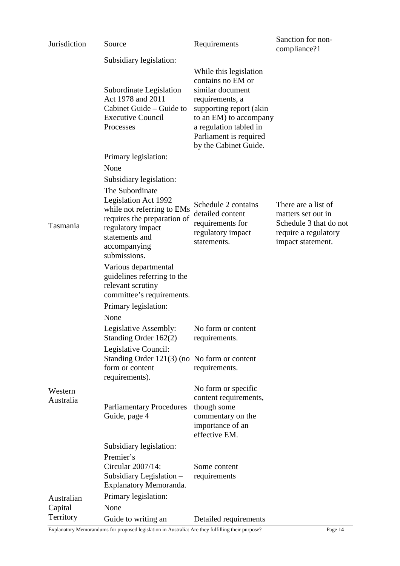| Jurisdiction         | Source                                                                                                                                                                                                 | Requirements                                                                                                                                                                                                         | Sanction for non-<br>compliance?1                                                                                |
|----------------------|--------------------------------------------------------------------------------------------------------------------------------------------------------------------------------------------------------|----------------------------------------------------------------------------------------------------------------------------------------------------------------------------------------------------------------------|------------------------------------------------------------------------------------------------------------------|
|                      | Subsidiary legislation:                                                                                                                                                                                |                                                                                                                                                                                                                      |                                                                                                                  |
|                      | Subordinate Legislation<br>Act 1978 and 2011<br>Cabinet Guide - Guide to<br><b>Executive Council</b><br>Processes                                                                                      | While this legislation<br>contains no EM or<br>similar document<br>requirements, a<br>supporting report (akin<br>to an EM) to accompany<br>a regulation tabled in<br>Parliament is required<br>by the Cabinet Guide. |                                                                                                                  |
|                      | Primary legislation:                                                                                                                                                                                   |                                                                                                                                                                                                                      |                                                                                                                  |
|                      | None                                                                                                                                                                                                   |                                                                                                                                                                                                                      |                                                                                                                  |
| Tasmania             | Subsidiary legislation:<br>The Subordinate<br>Legislation Act 1992<br>while not referring to EMs<br>requires the preparation of<br>regulatory impact<br>statements and<br>accompanying<br>submissions. | Schedule 2 contains<br>detailed content<br>requirements for<br>regulatory impact<br>statements.                                                                                                                      | There are a list of<br>matters set out in<br>Schedule 3 that do not<br>require a regulatory<br>impact statement. |
|                      | Various departmental<br>guidelines referring to the<br>relevant scrutiny<br>committee's requirements.<br>Primary legislation:                                                                          |                                                                                                                                                                                                                      |                                                                                                                  |
|                      | None                                                                                                                                                                                                   |                                                                                                                                                                                                                      |                                                                                                                  |
|                      | Legislative Assembly:<br>Standing Order 162(2)                                                                                                                                                         | No form or content<br>requirements.                                                                                                                                                                                  |                                                                                                                  |
|                      | Legislative Council:<br>Standing Order 121(3) (no No form or content<br>form or content<br>requirements).                                                                                              | requirements.                                                                                                                                                                                                        |                                                                                                                  |
| Western<br>Australia | <b>Parliamentary Procedures</b>                                                                                                                                                                        | No form or specific<br>content requirements,<br>though some                                                                                                                                                          |                                                                                                                  |
|                      | Guide, page 4                                                                                                                                                                                          | commentary on the<br>importance of an<br>effective EM.                                                                                                                                                               |                                                                                                                  |
|                      | Subsidiary legislation:                                                                                                                                                                                |                                                                                                                                                                                                                      |                                                                                                                  |
|                      | Premier's<br>Circular 2007/14:<br>Subsidiary Legislation -<br>Explanatory Memoranda.                                                                                                                   | Some content<br>requirements                                                                                                                                                                                         |                                                                                                                  |
| Australian           | Primary legislation:                                                                                                                                                                                   |                                                                                                                                                                                                                      |                                                                                                                  |
| Capital              | None                                                                                                                                                                                                   |                                                                                                                                                                                                                      |                                                                                                                  |
| Territory            | Guide to writing an                                                                                                                                                                                    | Detailed requirements                                                                                                                                                                                                |                                                                                                                  |

Explanatory Memorandums for proposed legislation in Australia: Are they fulfilling their purpose? Page 14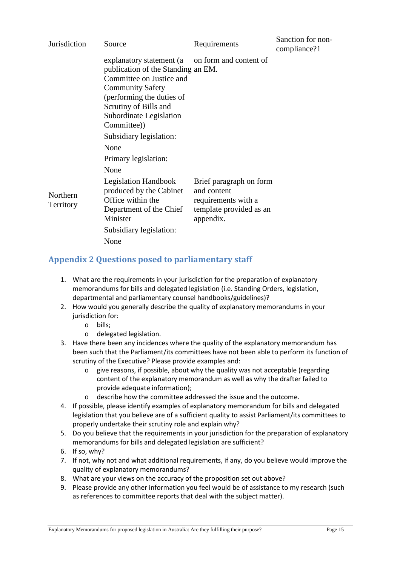| Jurisdiction          | Source                                                                                                                                                                                                                                                                   | Requirements                                                                                          | Sanction for non-<br>compliance?1 |
|-----------------------|--------------------------------------------------------------------------------------------------------------------------------------------------------------------------------------------------------------------------------------------------------------------------|-------------------------------------------------------------------------------------------------------|-----------------------------------|
|                       | explanatory statement (a) on form and content of<br>publication of the Standing an EM.<br>Committee on Justice and<br><b>Community Safety</b><br>(performing the duties of<br>Scrutiny of Bills and<br>Subordinate Legislation<br>Committee))<br>Subsidiary legislation: |                                                                                                       |                                   |
|                       | None                                                                                                                                                                                                                                                                     |                                                                                                       |                                   |
|                       | Primary legislation:                                                                                                                                                                                                                                                     |                                                                                                       |                                   |
|                       | None                                                                                                                                                                                                                                                                     |                                                                                                       |                                   |
| Northern<br>Territory | <b>Legislation Handbook</b><br>produced by the Cabinet<br>Office within the<br>Department of the Chief<br>Minister<br>Subsidiary legislation:<br>None                                                                                                                    | Brief paragraph on form<br>and content<br>requirements with a<br>template provided as an<br>appendix. |                                   |

# **Appendix 2 Questions posed to parliamentary staff**

- 1. What are the requirements in your jurisdiction for the preparation of explanatory memorandums for bills and delegated legislation (i.e. Standing Orders, legislation, departmental and parliamentary counsel handbooks/guidelines)?
- 2. How would you generally describe the quality of explanatory memorandums in your jurisdiction for:
	- o bills;
	- o delegated legislation.
- 3. Have there been any incidences where the quality of the explanatory memorandum has been such that the Parliament/its committees have not been able to perform its function of scrutiny of the Executive? Please provide examples and:
	- o give reasons, if possible, about why the quality was not acceptable (regarding content of the explanatory memorandum as well as why the drafter failed to provide adequate information);
	- o describe how the committee addressed the issue and the outcome.
- 4. If possible, please identify examples of explanatory memorandum for bills and delegated legislation that you believe are of a sufficient quality to assist Parliament/its committees to properly undertake their scrutiny role and explain why?
- 5. Do you believe that the requirements in your jurisdiction for the preparation of explanatory memorandums for bills and delegated legislation are sufficient?
- 6. If so, why?
- 7. If not, why not and what additional requirements, if any, do you believe would improve the quality of explanatory memorandums?
- 8. What are your views on the accuracy of the proposition set out above?
- 9. Please provide any other information you feel would be of assistance to my research (such as references to committee reports that deal with the subject matter).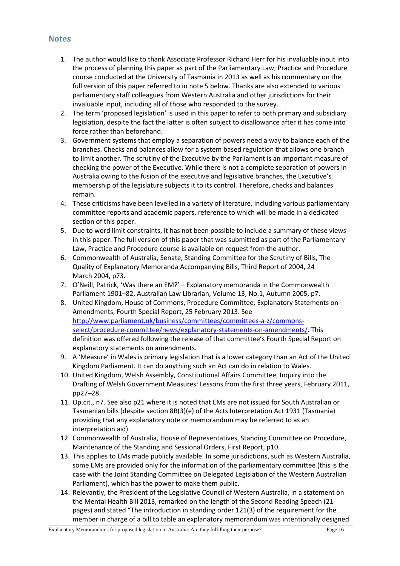## **Notes**

- 1. The author would like to thank Associate Professor Richard Herr for his invaluable input into the process of planning this paper as part of the Parliamentary Law, Practice and Procedure course conducted at the University of Tasmania in 2013 as well as his commentary on the full version of this paper referred to in note 5 below. Thanks are also extended to various parliamentary staff colleagues from Western Australia and other jurisdictions for their invaluable input, including all of those who responded to the survey.
- 2. The term 'proposed legislation' is used in this paper to refer to both primary and subsidiary legislation, despite the fact the latter is often subject to disallowance after it has come into force rather than beforehand.
- 3. Government systems that employ a separation of powers need a way to balance each of the branches. Checks and balances allow for a system based regulation that allows one branch to limit another. The scrutiny of the Executive by the Parliament is an important measure of checking the power of the Executive. While there is not a complete separation of powers in Australia owing to the fusion of the executive and legislative branches, the Executive's membership of the legislature subjects it to its control. Therefore, checks and balances remain.
- 4. These criticisms have been levelled in a variety of literature, including various parliamentary committee reports and academic papers, reference to which will be made in a dedicated section of this paper.
- 5. Due to word limit constraints, it has not been possible to include a summary of these views in this paper. The full version of this paper that was submitted as part of the Parliamentary Law, Practice and Procedure course is available on request from the author.
- 6. Commonwealth of Australia, Senate, Standing Committee for the Scrutiny of Bills, The Quality of Explanatory Memoranda Accompanying Bills, Third Report of 2004, 24 March 2004, p73.
- 7. O'Neill, Patrick, 'Was there an EM?' Explanatory memoranda in the Commonwealth Parliament 1901–82, Australian Law Librarian, Volume 13, No.1, Autumn 2005, p7.
- 8. United Kingdom, House of Commons, Procedure Committee, Explanatory Statements on Amendments, Fourth Special Report, 25 February 2013. See http://www.parliament.uk/business/committees/committees-a-z/commonsselect/procedure-committee/news/explanatory-statements-on-amendments/. This definition was offered following the release of that committee's Fourth Special Report on explanatory statements on amendments.
- 9. A 'Measure' in Wales is primary legislation that is a lower category than an Act of the United Kingdom Parliament. It can do anything such an Act can do in relation to Wales.
- 10. United Kingdom, Welsh Assembly, Constitutional Affairs Committee, Inquiry into the Drafting of Welsh Government Measures: Lessons from the first three years, February 2011, pp27–28.
- 11. Op.cit., n7. See also p21 where it is noted that EMs are not issued for South Australian or Tasmanian bills (despite section 8B(3)(e) of the Acts Interpretation Act 1931 (Tasmania) providing that any explanatory note or memorandum may be referred to as an interpretation aid).
- 12. Commonwealth of Australia, House of Representatives, Standing Committee on Procedure, Maintenance of the Standing and Sessional Orders, First Report, p10.
- 13. This applies to EMs made publicly available. In some jurisdictions, such as Western Australia, some EMs are provided only for the information of the parliamentary committee (this is the case with the Joint Standing Committee on Delegated Legislation of the Western Australian Parliament), which has the power to make them public.
- 14. Relevantly, the President of the Legislative Council of Western Australia, in a statement on the Mental Health Bill 2013, remarked on the length of the Second Reading Speech (21 pages) and stated "The introduction in standing order 121(3) of the requirement for the member in charge of a bill to table an explanatory memorandum was intentionally designed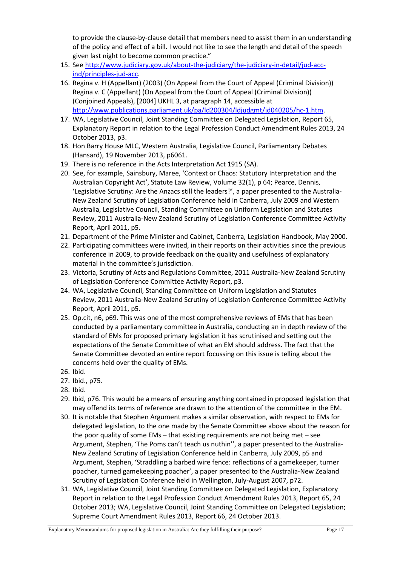to provide the clause-by-clause detail that members need to assist them in an understanding of the policy and effect of a bill. I would not like to see the length and detail of the speech given last night to become common practice."

- 15. See http://www.judiciary.gov.uk/about-the-judiciary/the-judiciary-in-detail/jud-accind/principles-jud-acc.
- 16. Regina v. H (Appellant) (2003) (On Appeal from the Court of Appeal (Criminal Division)) Regina v. C (Appellant) (On Appeal from the Court of Appeal (Criminal Division)) (Conjoined Appeals), [2004] UKHL 3, at paragraph 14, accessible at http://www.publications.parliament.uk/pa/ld200304/ldjudgmt/jd040205/hc-1.htm.
- 17. WA, Legislative Council, Joint Standing Committee on Delegated Legislation, Report 65, Explanatory Report in relation to the Legal Profession Conduct Amendment Rules 2013, 24 October 2013, p3.
- 18. Hon Barry House MLC, Western Australia, Legislative Council, Parliamentary Debates (Hansard), 19 November 2013, p6061.
- 19. There is no reference in the Acts Interpretation Act 1915 (SA).
- 20. See, for example, Sainsbury, Maree, 'Context or Chaos: Statutory Interpretation and the Australian Copyright Act', Statute Law Review, Volume 32(1), p 64; Pearce, Dennis, 'Legislative Scrutiny: Are the Anzacs still the leaders?', a paper presented to the Australia-New Zealand Scrutiny of Legislation Conference held in Canberra, July 2009 and Western Australia, Legislative Council, Standing Committee on Uniform Legislation and Statutes Review, 2011 Australia-New Zealand Scrutiny of Legislation Conference Committee Activity Report, April 2011, p5.
- 21. Department of the Prime Minister and Cabinet, Canberra, Legislation Handbook, May 2000.
- 22. Participating committees were invited, in their reports on their activities since the previous conference in 2009, to provide feedback on the quality and usefulness of explanatory material in the committee's jurisdiction.
- 23. Victoria, Scrutiny of Acts and Regulations Committee, 2011 Australia-New Zealand Scrutiny of Legislation Conference Committee Activity Report, p3.
- 24. WA, Legislative Council, Standing Committee on Uniform Legislation and Statutes Review, 2011 Australia-New Zealand Scrutiny of Legislation Conference Committee Activity Report, April 2011, p5.
- 25. Op.cit, n6, p69. This was one of the most comprehensive reviews of EMs that has been conducted by a parliamentary committee in Australia, conducting an in depth review of the standard of EMs for proposed primary legislation it has scrutinised and setting out the expectations of the Senate Committee of what an EM should address. The fact that the Senate Committee devoted an entire report focussing on this issue is telling about the concerns held over the quality of EMs.
- 26. Ibid.
- 27. Ibid., p75.
- 28. Ibid.
- 29. Ibid, p76. This would be a means of ensuring anything contained in proposed legislation that may offend its terms of reference are drawn to the attention of the committee in the EM.
- 30. It is notable that Stephen Argument makes a similar observation, with respect to EMs for delegated legislation, to the one made by the Senate Committee above about the reason for the poor quality of some EMs – that existing requirements are not being met – see Argument, Stephen, 'The Poms can't teach us nuthin'', a paper presented to the Australia-New Zealand Scrutiny of Legislation Conference held in Canberra, July 2009, p5 and Argument, Stephen, 'Straddling a barbed wire fence: reflections of a gamekeeper, turner poacher, turned gamekeeping poacher', a paper presented to the Australia-New Zealand Scrutiny of Legislation Conference held in Wellington, July-August 2007, p72.
- 31. WA, Legislative Council, Joint Standing Committee on Delegated Legislation, Explanatory Report in relation to the Legal Profession Conduct Amendment Rules 2013, Report 65, 24 October 2013; WA, Legislative Council, Joint Standing Committee on Delegated Legislation; Supreme Court Amendment Rules 2013, Report 66, 24 October 2013.